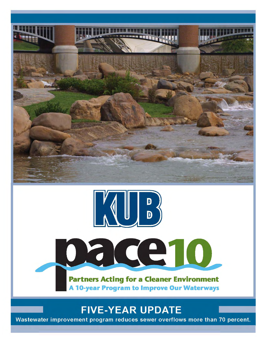





**FIVE-YEAR UPDATE** 

Wastewater improvement program reduces sewer overflows more than 70 percent.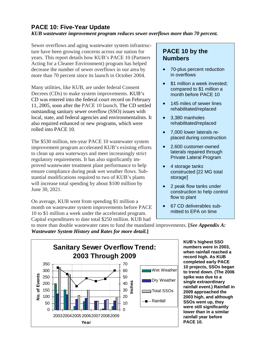# **PACE 10: Five-Year Update**

## *KUB wastewater improvement program reduces sewer overflows more than 70 percent.*

Sewer overflows and aging wastewater system infrastructure have been growing concerns across our nation for years. This report details how KUB's PACE 10 (Partners Acting for a Cleaner Environment) program has helped decrease the number of sewer overflows in our area by more than 70 percent since its launch in October 2004.

Many utilities, like KUB, are under federal Consent Decrees (CDs) to make system improvements. KUB's CD was entered into the federal court record on February 11, 2005, soon after the PACE 10 launch. The CD settled outstanding sanitary sewer overflow (SSO) issues with local, state, and federal agencies and environmentalists. It also required enhanced or new programs, which were rolled into PACE 10.

The \$530 million, ten-year PACE 10 wastewater system improvement program accelerated KUB's existing efforts to clean up area waterways and meet increasingly strict regulatory requirements. It has also significantly improved wastewater treatment plant performance to help ensure compliance during peak wet weather flows. Substantial modifications required to two of KUB's plants will increase total spending by about \$100 million by June 30, 2021.

On average, KUB went from spending \$1 million a month on wastewater system improvements before PACE 10 to \$1 million a week under the accelerated program. Capital expenditures to date total \$250 million. KUB had

## **PACE 10 by the Numbers**

- 70-plus percent reduction in overflows
- \$1 million a week invested; compared to \$1 million a month before PACE 10
- 145 miles of sewer lines rehabilitated/replaced
- 3,380 manholes rehabilitated/replaced
- 7,000 lower laterals replaced during construction
- 2,600 customer-owned laterals repaired through Private Lateral Program
- 4 storage tanks constructed [22 MG total storage]
- 2 peak flow tanks under construction to help control flow to plant
- 67 CD deliverables submitted to EPA on time

to more than double wastewater rates to fund the mandated improvements. **[***See Appendix A: Wastewater System History and Rates for more detail.***]**



**KUB's highest SSO numbers were in 2003, when rainfall reached a record high. As KUB completed early PACE 10 projects, SSOs began to trend down. (The 2006 spike was due to a single extraordinary rainfall event.) Rainfall in 2009 approached the 2003 high, and although SSOs went up, they were still significantly lower than in a similar rainfall year before PACE 10.**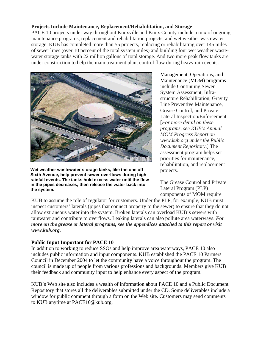### **Projects Include Maintenance, Replacement/Rehabilitation, and Storage**

PACE 10 projects under way throughout Knoxville and Knox County include a mix of ongoing maintenance programs, replacement and rehabilitation projects, and wet weather wastewater storage. KUB has completed more than 55 projects, replacing or rehabilitating over 145 miles of sewer lines (over 10 percent of the total system miles) and building four wet weather wastewater storage tanks with 22 million gallons of total storage. And two more peak flow tanks are under construction to help the main treatment plant control flow during heavy rain events.



**Wet weather wastewater storage tanks, like the one off Sixth Avenue, help prevent sewer overflows during high rainfall events. The tanks hold excess water until the flow in the pipes decreases, then release the water back into the system.** 

Management, Operations, and Maintenance (MOM) programs include Continuing Sewer System Assessment, Infrastructure Rehabilitation, Gravity Line Preventive Maintenance, Grease Control, and Private Lateral Inspection/Enforcement. [*For more detail on these programs, see KUB's Annual MOM Progress Report on www.kub.org under the Public Document Repository*.] The assessment program helps set priorities for maintenance, rehabilitation, and replacement projects.

The Grease Control and Private Lateral Program (PLP) components of MOM require

KUB to assume the role of regulator for customers. Under the PLP, for example, KUB must inspect customers' laterals (pipes that connect property to the sewer) to ensure that they do not allow extraneous water into the system. Broken laterals can overload KUB's sewers with rainwater and contribute to overflows. Leaking laterals can also pollute area waterways. *For more on the grease or lateral programs, see the appendices attached to this report or visit www.kub.org.* 

#### **Public Input Important for PACE 10**

In addition to working to reduce SSOs and help improve area waterways, PACE 10 also includes public information and input components. KUB established the PACE 10 Partners Council in December 2004 to let the community have a voice throughout the program. The council is made up of people from various professions and backgrounds. Members give KUB their feedback and community input to help enhance every aspect of the program.

KUB's Web site also includes a wealth of information about PACE 10 and a Public Document Repository that stores all the deliverables submitted under the CD. Some deliverables include a window for public comment through a form on the Web site. Customers may send comments to KUB anytime at PACE10@kub.org.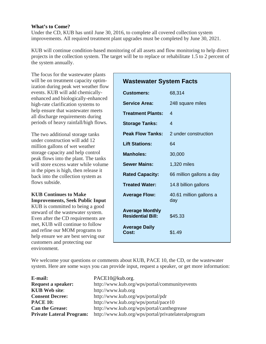#### **What's to Come?**

Under the CD, KUB has until June 30, 2016, to complete all covered collection system improvements. All required treatment plant upgrades must be completed by June 30, 2021.

KUB will continue condition-based monitoring of all assets and flow monitoring to help direct projects in the collection system. The target will be to replace or rehabilitate 1.5 to 2 percent of the system annually.

The focus for the wastewater plants will be on treatment capacity optimization during peak wet weather flow events. KUB will add chemicallyenhanced and biologically-enhanced high-rate clarification systems to help ensure that wastewater meets all discharge requirements during periods of heavy rainfall/high flows.

The two additional storage tanks under construction will add 12 million gallons of wet weather storage capacity and help control peak flows into the plant. The tanks will store excess water while volume in the pipes is high, then release it back into the collection system as flows subside.

## **KUB Continues to Make Improvements, Seek Public Input**

KUB is committed to being a good steward of the wastewater system. Even after the CD requirements are met, KUB will continue to follow and refine our MOM programs to help ensure we are best serving our customers and protecting our environment.

| <b>Wastewater System Facts</b>                     |                                |  |
|----------------------------------------------------|--------------------------------|--|
| <b>Customers:</b>                                  | 68,314                         |  |
| <b>Service Area:</b>                               | 248 square miles               |  |
| <b>Treatment Plants:</b>                           | 4                              |  |
| <b>Storage Tanks:</b>                              | $\boldsymbol{A}$               |  |
| <b>Peak Flow Tanks:</b>                            | 2 under construction           |  |
| <b>Lift Stations:</b>                              | 64                             |  |
| <b>Manholes:</b>                                   | 30,000                         |  |
| <b>Sewer Mains:</b>                                | 1,320 miles                    |  |
| <b>Rated Capacity:</b>                             | 66 million gallons a day       |  |
| <b>Treated Water:</b>                              | 14.8 billion gallons           |  |
| <b>Average Flow:</b>                               | 40.61 million gallons a<br>day |  |
| <b>Average Monthly</b><br><b>Residential Bill:</b> | \$45.33                        |  |
| <b>Average Daily</b><br>Cost:                      | \$1.49                         |  |

We welcome your questions or comments about KUB, PACE 10, the CD, or the wastewater system. Here are some ways you can provide input, request a speaker, or get more information:

| E-mail:                         | PACE10@kub.org.                                     |  |
|---------------------------------|-----------------------------------------------------|--|
| <b>Request a speaker:</b>       | http://www.kub.org/wps/portal/communityevents       |  |
| <b>KUB</b> Web site:            | http://www.kub.org                                  |  |
| <b>Consent Decree:</b>          | http://www.kub.org/wps/portal/pdr                   |  |
| <b>PACE 10:</b>                 | http://www.kub.org/wps/portal/pace10                |  |
| <b>Can the Grease:</b>          | http://www.kub.org/wps/portal/canthegrease          |  |
| <b>Private Lateral Program:</b> | http://www.kub.org/wps/portal/privatelateralprogram |  |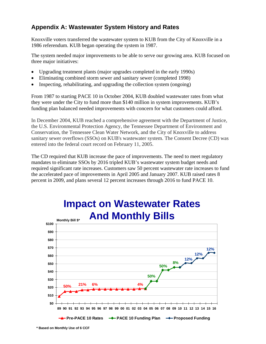## **Appendix A: Wastewater System History and Rates**

Knoxville voters transferred the wastewater system to KUB from the City of Knoxville in a 1986 referendum. KUB began operating the system in 1987.

The system needed major improvements to be able to serve our growing area. KUB focused on three major initiatives:

- Upgrading treatment plants (major upgrades completed in the early 1990s)
- Eliminating combined storm sewer and sanitary sewer (completed 1998)
- Inspecting, rehabilitating, and upgrading the collection system (ongoing)

From 1987 to starting PACE 10 in October 2004, KUB doubled wastewater rates from what they were under the City to fund more than \$140 million in system improvements. KUB's funding plan balanced needed improvements with concern for what customers could afford.

In December 2004, KUB reached a comprehensive agreement with the Department of Justice, the U.S. Environmental Protection Agency, the Tennessee Department of Environment and Conservation, the Tennessee Clean Water Network, and the City of Knoxville to address sanitary sewer overflows (SSOs) on KUB's wastewater system. The Consent Decree (CD) was entered into the federal court record on February 11, 2005.

The CD required that KUB increase the pace of improvements. The need to meet regulatory mandates to eliminate SSOs by 2016 tripled KUB's wastewater system budget needs and required significant rate increases. Customers saw 50 percent wastewater rate increases to fund the accelerated pace of improvements in April 2005 and January 2007. KUB raised rates 8 percent in 2009, and plans several 12 percent increases through 2016 to fund PACE 10.



# **Impact on Wastewater Rates And Monthly Bills**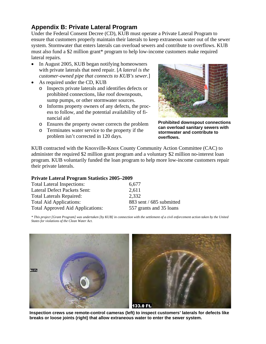## **Appendix B: Private Lateral Program**

Under the Federal Consent Decree (CD), KUB must operate a Private Lateral Program to ensure that customers properly maintain their laterals to keep extraneous water out of the sewer system. Stormwater that enters laterals can overload sewers and contribute to overflows. KUB must also fund a \$2 million grant\* program to help low-income customers make required lateral repairs.

- In August 2005, KUB began notifying homeowners with private laterals that need repair. [*A lateral is the customer-owned pipe that connects to KUB's sewer.*]
- As required under the CD, KUB
	- o Inspects private laterals and identifies defects or prohibited connections, like roof downspouts, sump pumps, or other stormwater sources.
	- o Informs property owners of any defects, the process to follow, and the potential availability of financial aid
	- o Ensures the property owner corrects the problem
	- o Terminates water service to the property if the problem isn't corrected in 120 days.



**Prohibited downspout connections can overload sanitary sewers with stormwater and contribute to overflows.**

KUB contracted with the Knoxville-Knox County Community Action Committee (CAC) to administer the required \$2 million grant program and a voluntary \$2 million no-interest loan program. KUB voluntarily funded the loan program to help more low-income customers repair their private laterals.

#### **Private Lateral Program Statistics 2005–2009**

| <b>Total Lateral Inspections:</b>       | 6,677                    |
|-----------------------------------------|--------------------------|
| Lateral Defect Packets Sent:            | 2,611                    |
| <b>Total Laterals Repaired:</b>         | 2,332                    |
| <b>Total Aid Applications:</b>          | 883 sent / 685 submitted |
| <b>Total Approved Aid Applications:</b> | 557 grants and 35 loans  |

*\* This project [Grant Program] was undertaken [by KUB] in connection with the settlement of a civil enforcement action taken by the United States for violations of the Clean Water Act.* 



**Inspection crews use remote-control cameras (left) to inspect customers' laterals for defects like breaks or loose joints (right) that allow extraneous water to enter the sewer system.**